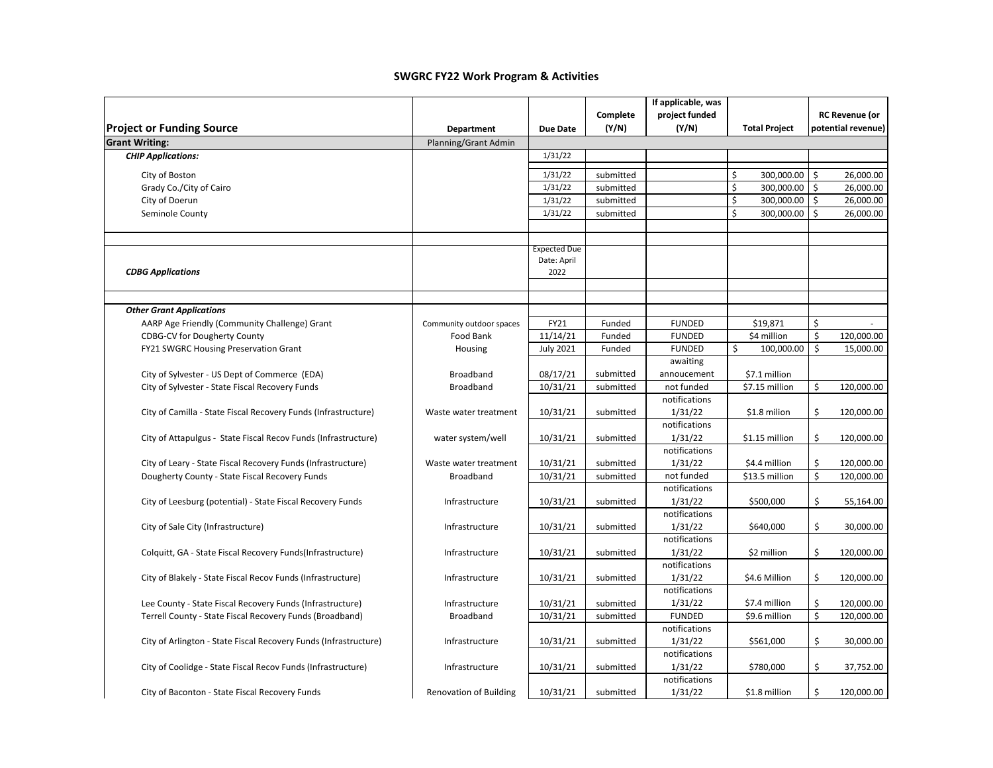|                                                                  |                               |                     |           | If applicable, was       |                      |                                 |
|------------------------------------------------------------------|-------------------------------|---------------------|-----------|--------------------------|----------------------|---------------------------------|
|                                                                  |                               |                     | Complete  | project funded           |                      | <b>RC Revenue (or</b>           |
| <b>Project or Funding Source</b>                                 | Department                    | <b>Due Date</b>     | (Y/N)     | (Y/N)                    | <b>Total Project</b> | potential revenue)              |
| <b>Grant Writing:</b>                                            | Planning/Grant Admin          |                     |           |                          |                      |                                 |
| <b>CHIP Applications:</b>                                        |                               | 1/31/22             |           |                          |                      |                                 |
| City of Boston                                                   |                               | 1/31/22             | submitted |                          | \$<br>300,000.00     | \$<br>26,000.00                 |
| Grady Co./City of Cairo                                          |                               | 1/31/22             | submitted |                          | \$<br>300,000.00     | $\mathsf{\hat{S}}$<br>26,000.00 |
| City of Doerun                                                   |                               | 1/31/22             | submitted |                          | \$<br>300,000.00     | \$<br>26,000.00                 |
| Seminole County                                                  |                               | 1/31/22             | submitted |                          | \$<br>300,000.00     | \$<br>26,000.00                 |
|                                                                  |                               |                     |           |                          |                      |                                 |
|                                                                  |                               |                     |           |                          |                      |                                 |
|                                                                  |                               | <b>Expected Due</b> |           |                          |                      |                                 |
|                                                                  |                               | Date: April         |           |                          |                      |                                 |
| <b>CDBG Applications</b>                                         |                               | 2022                |           |                          |                      |                                 |
|                                                                  |                               |                     |           |                          |                      |                                 |
|                                                                  |                               |                     |           |                          |                      |                                 |
| <b>Other Grant Applications</b>                                  |                               |                     |           |                          |                      |                                 |
| AARP Age Friendly (Community Challenge) Grant                    | Community outdoor spaces      | FY21                | Funded    | <b>FUNDED</b>            | \$19,871             | \$                              |
| <b>CDBG-CV for Dougherty County</b>                              | Food Bank                     | 11/14/21            | Funded    | <b>FUNDED</b>            | \$4 million          | \$<br>120,000.00                |
| FY21 SWGRC Housing Preservation Grant                            | Housing                       | <b>July 2021</b>    | Funded    | <b>FUNDED</b>            | \$<br>100,000.00     | \$<br>15,000.00                 |
|                                                                  |                               |                     |           | awaiting                 |                      |                                 |
| City of Sylvester - US Dept of Commerce (EDA)                    | <b>Broadband</b>              | 08/17/21            | submitted | annoucement              | \$7.1 million        |                                 |
| City of Sylvester - State Fiscal Recovery Funds                  | <b>Broadband</b>              | 10/31/21            | submitted | not funded               | \$7.15 million       | \$<br>120,000.00                |
|                                                                  |                               |                     |           | notifications            |                      |                                 |
| City of Camilla - State Fiscal Recovery Funds (Infrastructure)   | Waste water treatment         | 10/31/21            | submitted | 1/31/22<br>notifications | \$1.8 milion         | \$<br>120,000.00                |
| City of Attapulgus - State Fiscal Recov Funds (Infrastructure)   | water system/well             | 10/31/21            | submitted | 1/31/22                  | \$1.15 million       | \$<br>120,000.00                |
|                                                                  |                               |                     |           | notifications            |                      |                                 |
| City of Leary - State Fiscal Recovery Funds (Infrastructure)     | Waste water treatment         | 10/31/21            | submitted | 1/31/22                  | \$4.4 million        | \$<br>120,000.00                |
| Dougherty County - State Fiscal Recovery Funds                   | Broadband                     | 10/31/21            | submitted | not funded               | \$13.5 million       | \$<br>120,000.00                |
|                                                                  |                               |                     |           | notifications            |                      |                                 |
| City of Leesburg (potential) - State Fiscal Recovery Funds       | Infrastructure                | 10/31/21            | submitted | 1/31/22                  | \$500,000            | \$<br>55,164.00                 |
|                                                                  |                               |                     |           | notifications            |                      |                                 |
| City of Sale City (Infrastructure)                               | Infrastructure                | 10/31/21            | submitted | 1/31/22                  | \$640,000            | \$<br>30,000.00                 |
|                                                                  |                               |                     |           | notifications            |                      |                                 |
| Colquitt, GA - State Fiscal Recovery Funds(Infrastructure)       | Infrastructure                | 10/31/21            | submitted | 1/31/22                  | \$2 million          | \$<br>120,000.00                |
|                                                                  |                               |                     |           | notifications            |                      |                                 |
| City of Blakely - State Fiscal Recov Funds (Infrastructure)      | Infrastructure                | 10/31/21            | submitted | 1/31/22                  | \$4.6 Million        | \$<br>120,000.00                |
|                                                                  |                               |                     |           | notifications            |                      |                                 |
| Lee County - State Fiscal Recovery Funds (Infrastructure)        | Infrastructure                | 10/31/21            | submitted | 1/31/22                  | \$7.4 million        | \$<br>120,000.00                |
| Terrell County - State Fiscal Recovery Funds (Broadband)         | Broadband                     | 10/31/21            | submitted | <b>FUNDED</b>            | \$9.6 million        | \$<br>120,000.00                |
|                                                                  |                               |                     |           | notifications            |                      |                                 |
| City of Arlington - State Fiscal Recovery Funds (Infrastructure) | Infrastructure                | 10/31/21            | submitted | 1/31/22                  | \$561,000            | \$<br>30,000.00                 |
|                                                                  |                               |                     |           | notifications            |                      |                                 |
| City of Coolidge - State Fiscal Recov Funds (Infrastructure)     | Infrastructure                | 10/31/21            | submitted | 1/31/22                  | \$780,000            | \$<br>37,752.00                 |
|                                                                  |                               |                     |           | notifications            |                      |                                 |
| City of Baconton - State Fiscal Recovery Funds                   | <b>Renovation of Building</b> | 10/31/21            | submitted | 1/31/22                  | \$1.8 million        | \$<br>120,000.00                |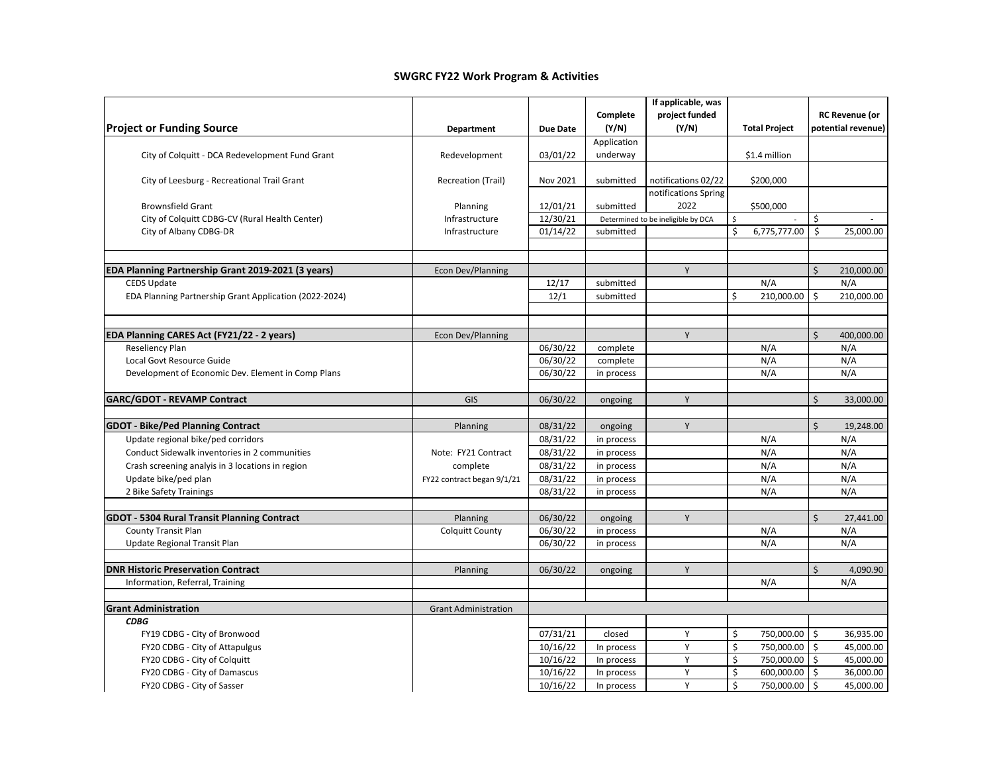|                                                                                |                             |                 |             | If applicable, was                 |                      |                       |
|--------------------------------------------------------------------------------|-----------------------------|-----------------|-------------|------------------------------------|----------------------|-----------------------|
|                                                                                |                             |                 | Complete    | project funded                     |                      | <b>RC Revenue (or</b> |
| <b>Project or Funding Source</b>                                               | <b>Department</b>           | <b>Due Date</b> | (Y/N)       | (Y/N)                              | <b>Total Project</b> | potential revenue)    |
|                                                                                |                             |                 | Application |                                    |                      |                       |
| City of Colquitt - DCA Redevelopment Fund Grant                                | Redevelopment               | 03/01/22        | underway    |                                    | \$1.4 million        |                       |
| City of Leesburg - Recreational Trail Grant                                    | <b>Recreation (Trail)</b>   | Nov 2021        | submitted   | notifications 02/22                | \$200,000            |                       |
|                                                                                |                             |                 |             | notifications Spring               |                      |                       |
| <b>Brownsfield Grant</b>                                                       | Planning                    | 12/01/21        | submitted   | 2022                               | \$500,000            |                       |
| City of Colquitt CDBG-CV (Rural Health Center)                                 | Infrastructure              | 12/30/21        |             | Determined to be ineligible by DCA | \$                   | \$                    |
| City of Albany CDBG-DR                                                         | Infrastructure              | 01/14/22        | submitted   |                                    | \$<br>6,775,777.00   | \$<br>25,000.00       |
|                                                                                |                             |                 |             |                                    |                      |                       |
| EDA Planning Partnership Grant 2019-2021 (3 years)                             | <b>Econ Dev/Planning</b>    |                 |             | Y                                  |                      | Ś.<br>210,000.00      |
| <b>CEDS Update</b>                                                             |                             | 12/17           | submitted   |                                    | N/A                  | N/A                   |
| EDA Planning Partnership Grant Application (2022-2024)                         |                             | 12/1            | submitted   |                                    | Ś.<br>210,000.00     | Ŝ.<br>210,000.00      |
|                                                                                |                             |                 |             |                                    |                      |                       |
| EDA Planning CARES Act (FY21/22 - 2 years)                                     | Econ Dev/Planning           |                 |             | Y                                  |                      | Ś.<br>400,000.00      |
| Reseliency Plan                                                                |                             | 06/30/22        | complete    |                                    | N/A                  | N/A                   |
| Local Govt Resource Guide                                                      |                             | 06/30/22        | complete    |                                    | N/A                  | N/A                   |
|                                                                                |                             |                 |             |                                    | N/A                  | N/A                   |
| Development of Economic Dev. Element in Comp Plans                             |                             | 06/30/22        | in process  |                                    |                      |                       |
| <b>GARC/GDOT - REVAMP Contract</b>                                             | GIS                         | 06/30/22        | ongoing     | Y                                  |                      | Ś.<br>33,000.00       |
|                                                                                |                             | 08/31/22        |             | Y                                  |                      | \$<br>19,248.00       |
| <b>GDOT - Bike/Ped Planning Contract</b><br>Update regional bike/ped corridors | Planning                    | 08/31/22        | ongoing     |                                    | N/A                  | N/A                   |
|                                                                                |                             |                 | in process  |                                    | N/A                  | N/A                   |
| Conduct Sidewalk inventories in 2 communities                                  | Note: FY21 Contract         | 08/31/22        | in process  |                                    |                      |                       |
| Crash screening analyis in 3 locations in region                               | complete                    | 08/31/22        | in process  |                                    | N/A                  | N/A                   |
| Update bike/ped plan                                                           | FY22 contract began 9/1/21  | 08/31/22        | in process  |                                    | N/A                  | N/A                   |
| 2 Bike Safety Trainings                                                        |                             | 08/31/22        | in process  |                                    | N/A                  | N/A                   |
| <b>GDOT - 5304 Rural Transit Planning Contract</b>                             | Planning                    | 06/30/22        | ongoing     | Y                                  |                      | Ś.<br>27,441.00       |
| <b>County Transit Plan</b>                                                     | <b>Colquitt County</b>      | 06/30/22        | in process  |                                    | N/A                  | N/A                   |
|                                                                                |                             |                 |             |                                    |                      |                       |
| Update Regional Transit Plan                                                   |                             | 06/30/22        | in process  |                                    | N/A                  | N/A                   |
| <b>DNR Historic Preservation Contract</b>                                      | Planning                    | 06/30/22        | ongoing     | Y                                  |                      | \$<br>4,090.90        |
| Information, Referral, Training                                                |                             |                 |             |                                    | N/A                  | N/A                   |
| <b>Grant Administration</b>                                                    | <b>Grant Administration</b> |                 |             |                                    |                      |                       |
| <b>CDBG</b>                                                                    |                             |                 |             |                                    |                      |                       |
| FY19 CDBG - City of Bronwood                                                   |                             | 07/31/21        | closed      | Y                                  | \$<br>750,000.00     | \$<br>36,935.00       |
| FY20 CDBG - City of Attapulgus                                                 |                             | 10/16/22        | In process  | Y                                  | \$<br>750,000.00     | \$<br>45,000.00       |
| FY20 CDBG - City of Colquitt                                                   |                             | 10/16/22        | In process  | Y                                  | \$<br>750,000.00     | Ś.<br>45,000.00       |
| FY20 CDBG - City of Damascus                                                   |                             | 10/16/22        | In process  | Y                                  | \$<br>600,000.00     | \$<br>36,000.00       |
| FY20 CDBG - City of Sasser                                                     |                             | 10/16/22        | In process  | Y                                  | \$<br>750,000.00     | \$<br>45,000.00       |
|                                                                                |                             |                 |             |                                    |                      |                       |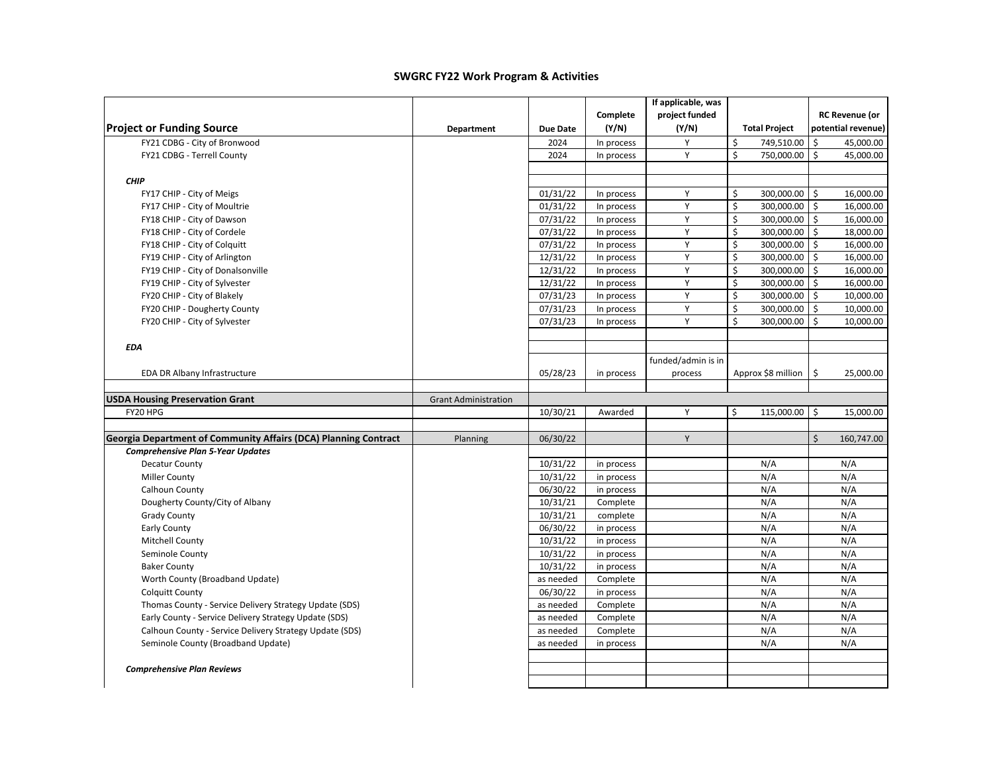|                                                                 |                             |                 |            | If applicable, was |                      |                                  |
|-----------------------------------------------------------------|-----------------------------|-----------------|------------|--------------------|----------------------|----------------------------------|
|                                                                 |                             |                 | Complete   | project funded     |                      | <b>RC Revenue (or</b>            |
| <b>Project or Funding Source</b>                                | Department                  | <b>Due Date</b> | (Y/N)      | (Y/N)              | <b>Total Project</b> | potential revenue)               |
| FY21 CDBG - City of Bronwood                                    |                             | 2024            | In process | Y                  | \$<br>749,510.00     | \$<br>45,000.00                  |
| FY21 CDBG - Terrell County                                      |                             | 2024            | In process | Y                  | \$<br>750,000.00     | $\mathsf{\hat{S}}$<br>45,000.00  |
|                                                                 |                             |                 |            |                    |                      |                                  |
| <b>CHIP</b>                                                     |                             |                 |            |                    |                      |                                  |
| FY17 CHIP - City of Meigs                                       |                             | 01/31/22        | In process | Υ                  | \$<br>300,000.00     | \$<br>16,000.00                  |
| FY17 CHIP - City of Moultrie                                    |                             | 01/31/22        | In process | Y                  | \$<br>300,000.00     | \$<br>16,000.00                  |
| FY18 CHIP - City of Dawson                                      |                             | 07/31/22        | In process | Y                  | \$<br>300,000.00     | $\ddot{\mathsf{S}}$<br>16,000.00 |
| FY18 CHIP - City of Cordele                                     |                             | 07/31/22        | In process | Υ                  | \$<br>300,000.00     | \$<br>18,000.00                  |
| FY18 CHIP - City of Colquitt                                    |                             | 07/31/22        | In process | Y                  | \$<br>300,000.00     | \$<br>16,000.00                  |
| FY19 CHIP - City of Arlington                                   |                             | 12/31/22        | In process | Y                  | \$<br>300,000.00     | \$<br>16,000.00                  |
| FY19 CHIP - City of Donalsonville                               |                             | 12/31/22        | In process | Y                  | \$<br>300,000.00 \$  | 16,000.00                        |
| FY19 CHIP - City of Sylvester                                   |                             | 12/31/22        | In process | Y                  | \$<br>300,000.00     | \$<br>16,000.00                  |
| FY20 CHIP - City of Blakely                                     |                             | 07/31/23        | In process | Y                  | \$<br>300,000.00     | \$<br>10,000.00                  |
| FY20 CHIP - Dougherty County                                    |                             | 07/31/23        | In process | Υ                  | \$<br>300,000.00     | \$<br>10,000.00                  |
| FY20 CHIP - City of Sylvester                                   |                             | 07/31/23        | In process | Y                  | \$<br>300,000.00     | Ŝ.<br>10,000.00                  |
|                                                                 |                             |                 |            |                    |                      |                                  |
| <b>EDA</b>                                                      |                             |                 |            |                    |                      |                                  |
|                                                                 |                             |                 |            | funded/admin is in |                      |                                  |
| EDA DR Albany Infrastructure                                    |                             | 05/28/23        | in process | process            | Approx \$8 million   | \$<br>25,000.00                  |
|                                                                 |                             |                 |            |                    |                      |                                  |
| <b>USDA Housing Preservation Grant</b>                          | <b>Grant Administration</b> |                 |            |                    |                      |                                  |
| FY20 HPG                                                        |                             | 10/30/21        | Awarded    | Y                  | Ś.<br>115,000.00     | \$<br>15,000.00                  |
|                                                                 |                             |                 |            |                    |                      |                                  |
| Georgia Department of Community Affairs (DCA) Planning Contract | Planning                    | 06/30/22        |            | Υ                  |                      | \$<br>160,747.00                 |
| <b>Comprehensive Plan 5-Year Updates</b>                        |                             |                 |            |                    |                      |                                  |
| <b>Decatur County</b>                                           |                             | 10/31/22        | in process |                    | N/A                  | N/A                              |
| <b>Miller County</b>                                            |                             | 10/31/22        | in process |                    | N/A                  | N/A                              |
| Calhoun County                                                  |                             | 06/30/22        | in process |                    | N/A                  | N/A                              |
| Dougherty County/City of Albany                                 |                             | 10/31/21        | Complete   |                    | N/A                  | N/A                              |
| <b>Grady County</b>                                             |                             | 10/31/21        | complete   |                    | N/A                  | N/A                              |
| Early County                                                    |                             | 06/30/22        | in process |                    | N/A                  | N/A                              |
| Mitchell County                                                 |                             | 10/31/22        | in process |                    | N/A                  | N/A                              |
| Seminole County                                                 |                             | 10/31/22        | in process |                    | N/A                  | N/A                              |
| <b>Baker County</b>                                             |                             | 10/31/22        | in process |                    | N/A                  | N/A                              |
| Worth County (Broadband Update)                                 |                             | as needed       | Complete   |                    | N/A                  | N/A                              |
| <b>Colquitt County</b>                                          |                             | 06/30/22        | in process |                    | N/A                  | N/A                              |
| Thomas County - Service Delivery Strategy Update (SDS)          |                             | as needed       | Complete   |                    | N/A                  | N/A                              |
| Early County - Service Delivery Strategy Update (SDS)           |                             | as needed       | Complete   |                    | N/A<br>N/A           | N/A                              |
| Calhoun County - Service Delivery Strategy Update (SDS)         |                             | as needed       | Complete   |                    |                      | N/A                              |
| Seminole County (Broadband Update)                              |                             | as needed       | in process |                    | N/A                  | N/A                              |
| <b>Comprehensive Plan Reviews</b>                               |                             |                 |            |                    |                      |                                  |
|                                                                 |                             |                 |            |                    |                      |                                  |
|                                                                 |                             |                 |            |                    |                      |                                  |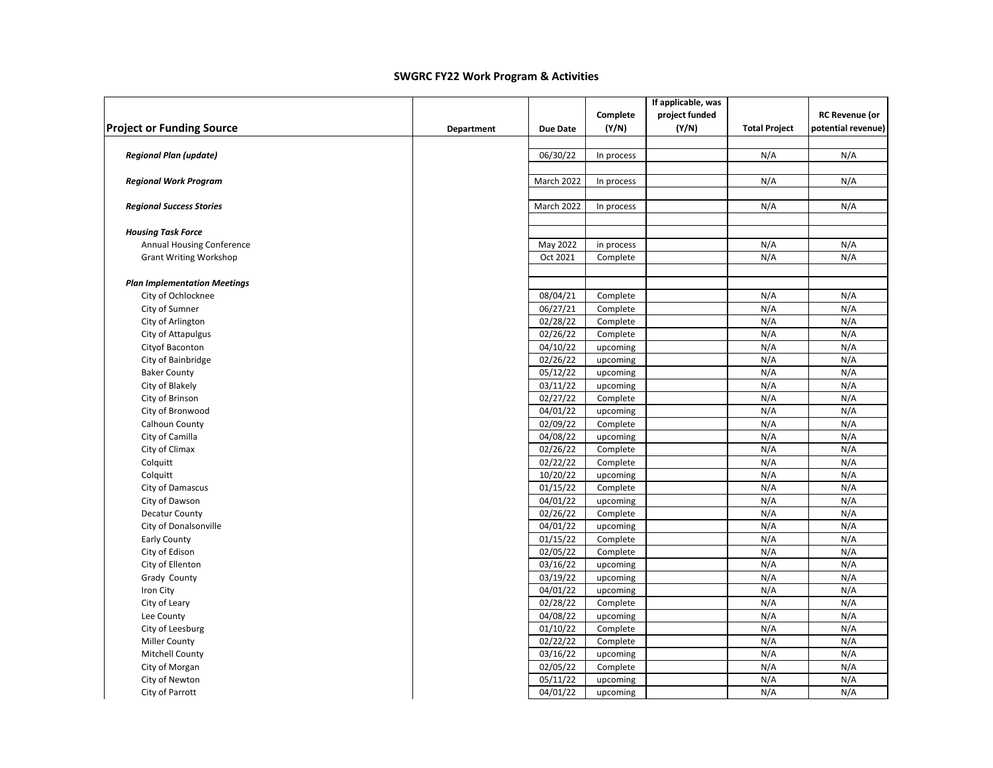|                                     |            |                 |            | If applicable, was |                      |                       |
|-------------------------------------|------------|-----------------|------------|--------------------|----------------------|-----------------------|
|                                     |            |                 | Complete   | project funded     |                      | <b>RC Revenue (or</b> |
| <b>Project or Funding Source</b>    | Department | <b>Due Date</b> | (Y/N)      | (Y/N)              | <b>Total Project</b> | potential revenue)    |
| <b>Regional Plan (update)</b>       |            | 06/30/22        | In process |                    | N/A                  | N/A                   |
|                                     |            |                 |            |                    |                      |                       |
| <b>Regional Work Program</b>        |            | March 2022      | In process |                    | N/A                  | N/A                   |
| <b>Regional Success Stories</b>     |            | March 2022      | In process |                    | N/A                  | N/A                   |
| <b>Housing Task Force</b>           |            |                 |            |                    |                      |                       |
| Annual Housing Conference           |            | May 2022        | in process |                    | N/A                  | N/A                   |
| <b>Grant Writing Workshop</b>       |            | Oct 2021        | Complete   |                    | N/A                  | N/A                   |
| <b>Plan Implementation Meetings</b> |            |                 |            |                    |                      |                       |
| City of Ochlocknee                  |            | 08/04/21        | Complete   |                    | N/A                  | N/A                   |
| City of Sumner                      |            | 06/27/21        | Complete   |                    | N/A                  | N/A                   |
| City of Arlington                   |            | 02/28/22        | Complete   |                    | N/A                  | N/A                   |
| City of Attapulgus                  |            | 02/26/22        | Complete   |                    | N/A                  | N/A                   |
| Cityof Baconton                     |            | 04/10/22        | upcoming   |                    | N/A                  | N/A                   |
| City of Bainbridge                  |            | 02/26/22        | upcoming   |                    | N/A                  | N/A                   |
| <b>Baker County</b>                 |            | 05/12/22        | upcoming   |                    | N/A                  | N/A                   |
| City of Blakely                     |            | 03/11/22        | upcoming   |                    | N/A                  | N/A                   |
| City of Brinson                     |            | 02/27/22        | Complete   |                    | N/A                  | N/A                   |
| City of Bronwood                    |            | 04/01/22        | upcoming   |                    | N/A                  | N/A                   |
| Calhoun County                      |            | 02/09/22        | Complete   |                    | N/A                  | N/A                   |
| City of Camilla                     |            | 04/08/22        | upcoming   |                    | N/A                  | N/A                   |
| City of Climax                      |            | 02/26/22        | Complete   |                    | N/A                  | N/A                   |
| Colquitt                            |            | 02/22/22        | Complete   |                    | N/A                  | N/A                   |
| Colquitt                            |            | 10/20/22        | upcoming   |                    | N/A                  | N/A                   |
| City of Damascus                    |            | 01/15/22        | Complete   |                    | N/A                  | N/A                   |
| City of Dawson                      |            | 04/01/22        | upcoming   |                    | N/A                  | N/A                   |
| <b>Decatur County</b>               |            | 02/26/22        | Complete   |                    | N/A                  | N/A                   |
| City of Donalsonville               |            | 04/01/22        | upcoming   |                    | N/A                  | N/A                   |
| <b>Early County</b>                 |            | 01/15/22        | Complete   |                    | N/A                  | N/A                   |
| City of Edison                      |            | 02/05/22        | Complete   |                    | N/A                  | N/A                   |
| City of Ellenton                    |            | 03/16/22        | upcoming   |                    | N/A                  | N/A                   |
| Grady County                        |            | 03/19/22        | upcoming   |                    | N/A                  | N/A                   |
| Iron City                           |            | 04/01/22        | upcoming   |                    | N/A                  | N/A                   |
| City of Leary                       |            | 02/28/22        | Complete   |                    | N/A                  | N/A                   |
| Lee County                          |            | 04/08/22        | upcoming   |                    | N/A                  | N/A                   |
| City of Leesburg                    |            | 01/10/22        | Complete   |                    | N/A                  | N/A                   |
| <b>Miller County</b>                |            | 02/22/22        | Complete   |                    | N/A                  | N/A                   |
| <b>Mitchell County</b>              |            | 03/16/22        | upcoming   |                    | N/A                  | N/A                   |
| City of Morgan                      |            | 02/05/22        | Complete   |                    | N/A                  | N/A                   |
| City of Newton                      |            | 05/11/22        | upcoming   |                    | N/A                  | N/A                   |
| City of Parrott                     |            | 04/01/22        | upcoming   |                    | N/A                  | N/A                   |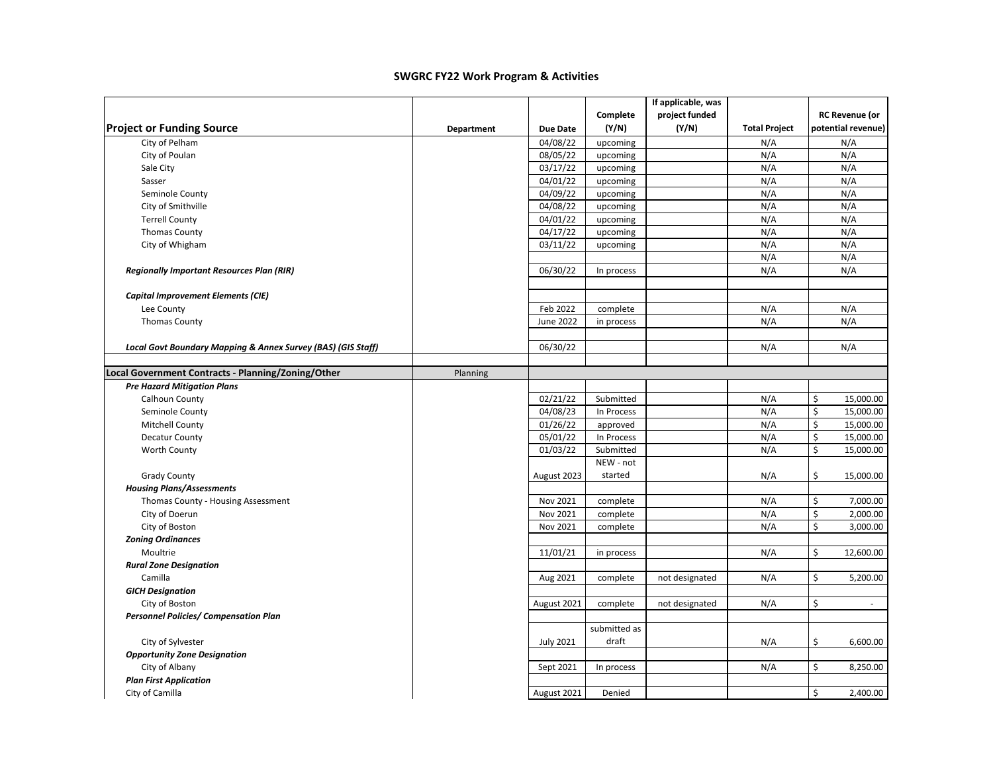|                                                              |            |                  |              | If applicable, was |                      |                       |
|--------------------------------------------------------------|------------|------------------|--------------|--------------------|----------------------|-----------------------|
|                                                              |            |                  | Complete     | project funded     |                      | <b>RC Revenue (or</b> |
| <b>Project or Funding Source</b>                             | Department | <b>Due Date</b>  | (Y/N)        | (Y/N)              | <b>Total Project</b> | potential revenue)    |
| City of Pelham                                               |            | 04/08/22         | upcoming     |                    | N/A                  | N/A                   |
| City of Poulan                                               |            | 08/05/22         | upcoming     |                    | N/A                  | N/A                   |
| Sale City                                                    |            | 03/17/22         | upcoming     |                    | N/A                  | N/A                   |
| Sasser                                                       |            | 04/01/22         | upcoming     |                    | N/A                  | N/A                   |
| Seminole County                                              |            | 04/09/22         | upcoming     |                    | N/A                  | N/A                   |
| City of Smithville                                           |            | 04/08/22         | upcoming     |                    | N/A                  | N/A                   |
| <b>Terrell County</b>                                        |            | 04/01/22         | upcoming     |                    | N/A                  | N/A                   |
| <b>Thomas County</b>                                         |            | 04/17/22         | upcoming     |                    | N/A                  | N/A                   |
| City of Whigham                                              |            | 03/11/22         | upcoming     |                    | N/A                  | N/A                   |
|                                                              |            |                  |              |                    | N/A                  | N/A                   |
| <b>Regionally Important Resources Plan (RIR)</b>             |            | 06/30/22         | In process   |                    | N/A                  | N/A                   |
|                                                              |            |                  |              |                    |                      |                       |
| <b>Capital Improvement Elements (CIE)</b>                    |            |                  |              |                    |                      |                       |
| Lee County                                                   |            | Feb 2022         | complete     |                    | N/A                  | N/A                   |
| <b>Thomas County</b>                                         |            | <b>June 2022</b> | in process   |                    | N/A                  | N/A                   |
|                                                              |            |                  |              |                    |                      |                       |
| Local Govt Boundary Mapping & Annex Survey (BAS) (GIS Staff) |            | 06/30/22         |              |                    | N/A                  | N/A                   |
|                                                              |            |                  |              |                    |                      |                       |
| Local Government Contracts - Planning/Zoning/Other           | Planning   |                  |              |                    |                      |                       |
| <b>Pre Hazard Mitigation Plans</b>                           |            |                  |              |                    |                      |                       |
| Calhoun County                                               |            | 02/21/22         | Submitted    |                    | N/A                  | \$<br>15,000.00       |
| Seminole County                                              |            | 04/08/23         | In Process   |                    | N/A                  | \$<br>15,000.00       |
| Mitchell County                                              |            | 01/26/22         | approved     |                    | N/A                  | \$<br>15,000.00       |
| <b>Decatur County</b>                                        |            | 05/01/22         | In Process   |                    | N/A                  | \$<br>15,000.00       |
| Worth County                                                 |            | 01/03/22         | Submitted    |                    | N/A                  | \$<br>15,000.00       |
|                                                              |            |                  | NEW - not    |                    |                      |                       |
| <b>Grady County</b>                                          |            | August 2023      | started      |                    | N/A                  | \$<br>15,000.00       |
| <b>Housing Plans/Assessments</b>                             |            |                  |              |                    |                      |                       |
| Thomas County - Housing Assessment                           |            | Nov 2021         | complete     |                    | N/A                  | \$<br>7,000.00        |
| City of Doerun                                               |            | Nov 2021         | complete     |                    | N/A                  | \$<br>2,000.00        |
| City of Boston                                               |            | Nov 2021         | complete     |                    | N/A                  | \$<br>3,000.00        |
| <b>Zoning Ordinances</b>                                     |            |                  |              |                    |                      |                       |
| Moultrie                                                     |            | 11/01/21         | in process   |                    | N/A                  | \$<br>12,600.00       |
| <b>Rural Zone Designation</b>                                |            |                  |              |                    |                      |                       |
| Camilla                                                      |            | Aug 2021         | complete     | not designated     | N/A                  | \$<br>5,200.00        |
| <b>GICH Designation</b>                                      |            |                  |              |                    |                      |                       |
| City of Boston                                               |            | August 2021      | complete     | not designated     | N/A                  | \$                    |
| <b>Personnel Policies/ Compensation Plan</b>                 |            |                  |              |                    |                      |                       |
|                                                              |            |                  | submitted as |                    |                      |                       |
| City of Sylvester                                            |            | <b>July 2021</b> | draft        |                    | N/A                  | \$<br>6,600.00        |
| <b>Opportunity Zone Designation</b>                          |            |                  |              |                    |                      |                       |
| City of Albany                                               |            | Sept 2021        | In process   |                    | N/A                  | \$<br>8,250.00        |
| <b>Plan First Application</b>                                |            |                  |              |                    |                      |                       |
| City of Camilla                                              |            | August 2021      | Denied       |                    |                      | \$<br>2,400.00        |